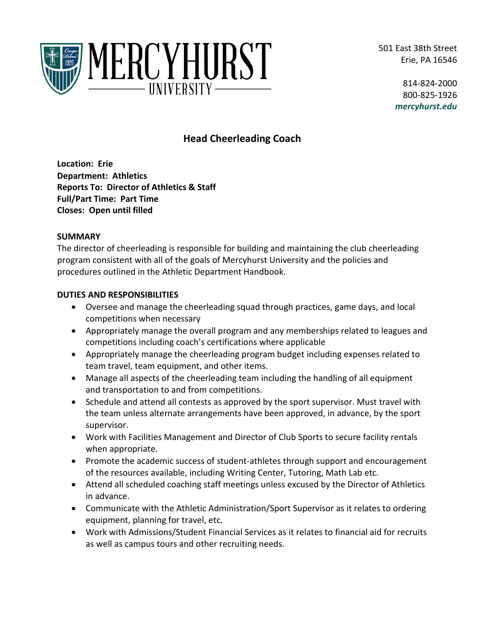501 East 38th Street Erie, PA 16546



814-824-2000 800-825-1926 *mercyhurst.edu*

# **Head Cheerleading Coach**

**Location: Erie Department: Athletics Reports To: Director of Athletics & Staff Full/Part Time: Part Time Closes: Open until filled**

#### **SUMMARY**

The director of cheerleading is responsible for building and maintaining the club cheerleading program consistent with all of the goals of Mercyhurst University and the policies and procedures outlined in the Athletic Department Handbook.

# **DUTIES AND RESPONSIBILITIES**

- Oversee and manage the cheerleading squad through practices, game days, and local competitions when necessary
- Appropriately manage the overall program and any memberships related to leagues and competitions including coach's certifications where applicable
- Appropriately manage the cheerleading program budget including expenses related to team travel, team equipment, and other items.
- Manage all aspects of the cheerleading team including the handling of all equipment and transportation to and from competitions.
- Schedule and attend all contests as approved by the sport supervisor. Must travel with the team unless alternate arrangements have been approved, in advance, by the sport supervisor.
- Work with Facilities Management and Director of Club Sports to secure facility rentals when appropriate.
- Promote the academic success of student-athletes through support and encouragement of the resources available, including Writing Center, Tutoring, Math Lab etc.
- Attend all scheduled coaching staff meetings unless excused by the Director of Athletics in advance.
- Communicate with the Athletic Administration/Sport Supervisor as it relates to ordering equipment, planning for travel, etc.
- Work with Admissions/Student Financial Services as it relates to financial aid for recruits as well as campus tours and other recruiting needs.